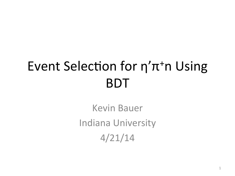#### Event Selection for  $\eta'$ π<sup>+</sup>n Using BDT

Kevin Bauer Indiana University 4/21/14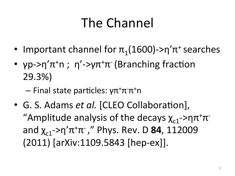# The Channel

- Important channel for  $\pi_1(1600)$ ->η' $\pi^+$  searches
- γp->η' $\pi$ <sup>+</sup>n ; η'->γ $\pi$ <sup>+</sup> $\pi$ <sup>-</sup> (Branching fraction 29.3%)
	- Final state particles: γπ<sup>+</sup>π<sup>-</sup>π<sup>+</sup>n
- G. S. Adams et al. [CLEO Collaboration], "Amplitude analysis of the decays  $\chi_{c1}$ ->η $\pi^+\pi^$ and  $\chi_{c1}$ ->η' $\pi^+\pi^-$ ," Phys. Rev. D **84**, 112009 (2011) [arXiv:1109.5843 [hep-ex]].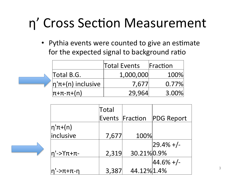### η' Cross Section Measurement

• Pythia events were counted to give an estimate for the expected signal to background ratio

|                              | <b>Total Events</b> | Fraction |  |
|------------------------------|---------------------|----------|--|
| Total B.G.                   | 1,000,000           | 100%     |  |
| $ \eta' \pi + (n)$ inclusive | 7,677               | 0.77%    |  |
| $ \pi + \pi - \pi + (n) $    | 29.964              | 3.00%    |  |

|             | Total |                 |                   |
|-------------|-------|-----------------|-------------------|
|             |       | Events Fraction | <b>PDG Report</b> |
| $ $ η'π+(n) |       |                 |                   |
| inclusive   | 7,677 | 100%            |                   |
|             |       |                 | $ 29.4\% +  -$    |
| η'->Υπ+π-   | 2,319 | 30.21% 0.9%     |                   |
|             |       |                 | $ 44.6\% +  -$    |
| η'->π+π-η   | 3,387 | 44.12% 1.4%     |                   |

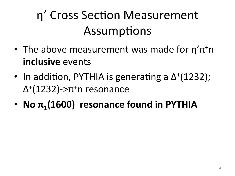#### η' Cross Section Measurement Assumptions

- The above measurement was made for  $\eta'$ π<sup>+</sup>n **inclusive** events
- In addition, PYTHIA is generating a  $\Delta^+(1232)$ ;  $Δ+(1232)$ ->π<sup>+</sup>n resonance
- **No**  $\pi_1(1600)$  resonance found in PYTHIA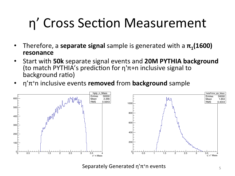# η' Cross Section Measurement

- Therefore, a **separate signal** sample is generated with a  $\pi_1(1600)$ **resonance**
- Start with 50k separate signal events and 20M PYTHIA background (to match PYTHIA's prediction for  $\eta^{\dagger} \pi + n$  inclusive signal to background ratio)
- η'π<sup>+</sup>n inclusive events **removed** from **background** sample



Separately Generated  $\eta' \pi^*$ n events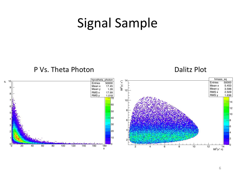#### Signal Sample

#### P Vs. Theta Photon **Dalitz** Plot

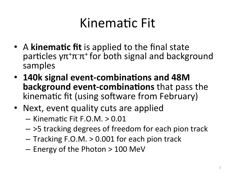#### Kinematic Fit

- A **kinematic fit** is applied to the final state particles  $\gamma \pi^+ \pi^- \pi^+$  for both signal and background samples
- 140k signal event-combinations and 48M **background event-combinations** that pass the kinematic fit (using software from February)
- Next, event quality cuts are applied
	- $-$  Kinematic Fit F.O.M.  $> 0.01$
	- $-$  >5 tracking degrees of freedom for each pion track
	- $-$  Tracking F.O.M.  $> 0.001$  for each pion track
	- $-$  Energy of the Photon  $> 100$  MeV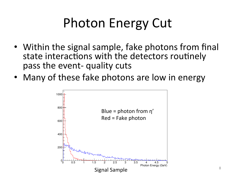# Photon Energy Cut

- Within the signal sample, fake photons from final state interactions with the detectors routinely pass the event- quality cuts
- Many of these fake photons are low in energy

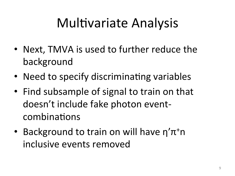# Multivariate Analysis

- Next, TMVA is used to further reduce the background
- Need to specify discriminating variables
- Find subsample of signal to train on that doesn't include fake photon eventcombinations
- Background to train on will have  $\eta'$ π<sup>+</sup>n inclusive events removed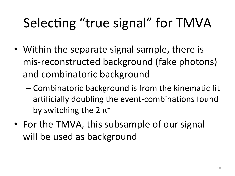# Selecting "true signal" for TMVA

- Within the separate signal sample, there is mis-reconstructed background (fake photons) and combinatoric background
	- Combinatoric background is from the kinematic fit artificially doubling the event-combinations found by switching the  $2 \pi^+$
- For the TMVA, this subsample of our signal will be used as background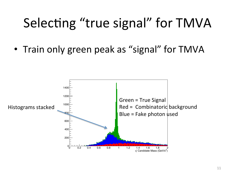#### Selecting "true signal" for TMVA

• Train only green peak as "signal" for TMVA

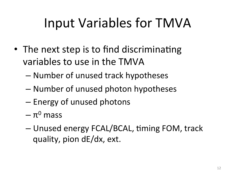# Input Variables for TMVA

- The next step is to find discriminating variables to use in the TMVA
	- Number of unused track hypotheses
	- Number of unused photon hypotheses
	- Energy of unused photons
	- $-\pi^0$  mass
	- Unused energy FCAL/BCAL, timing FOM, track quality, pion dE/dx, ext.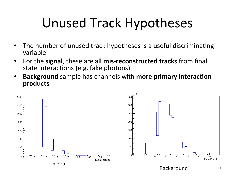# Unused Track Hypotheses

- The number of unused track hypotheses is a useful discriminating variable
- For the **signal**, these are all **mis-reconstructed tracks** from final state interactions (e.g. fake photons)
- **Background** sample has channels with more primary interaction **products**

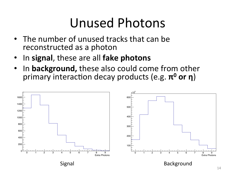#### Unused Photons

- The number of unused tracks that can be reconstructed as a photon
- In signal, these are all **fake photons**
- In **background,** these also could come from other primary interaction decay products (e.g. **π<sup>0</sup> or η**)

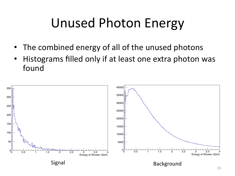# Unused Photon Energy

- The combined energy of all of the unused photons
- Histograms filled only if at least one extra photon was found

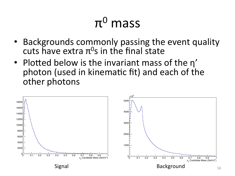# $π<sup>0</sup>$  mass

- Backgrounds commonly passing the event quality cuts have extra  $\pi^0$ s in the final state
- Plotted below is the invariant mass of the n' photon (used in kinematic fit) and each of the other photons

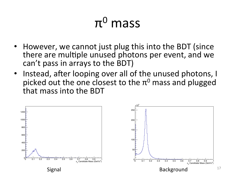#### $π<sup>0</sup>$  mass

- However, we cannot just plug this into the BDT (since there are multiple unused photons per event, and we can't pass in arrays to the BDT)
- Instead, after looping over all of the unused photons, I picked out the one closest to the  $\pi^0$  mass and plugged that mass into the BDT



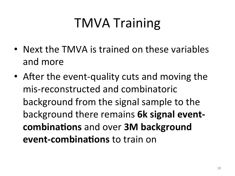# TMVA Training

- Next the TMVA is trained on these variables and more
- After the event-quality cuts and moving the mis-reconstructed and combinatoric background from the signal sample to the background there remains **6k signal eventcombinations** and over **3M** background **event-combinations** to train on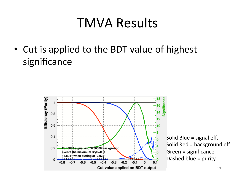• Cut is applied to the BDT value of highest significance 



Solid Blue  $=$  signal eff. Solid  $Red = background$  eff. Green = significance Dashed blue  $=$  purity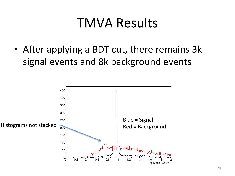• After applying a BDT cut, there remains 3k signal events and 8k background events

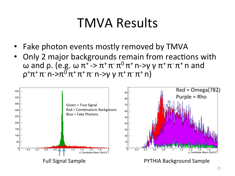- Fake photon events mostly removed by TMVA
- Only 2 major backgrounds remain from reactions with ω and ρ. (e.g. ω  $\pi^+$  ->  $\pi^+ \pi^- \pi^0 \pi^+$  n->γ γ  $\pi^+ \pi^- \pi^+$  n and  $\rho^+ \pi^+ \pi^-$  n- $\rho^- \pi^0 \pi^+ \pi^+ \pi^-$  n- $\rho$   $\gamma \pi^+ \pi^- \pi^+$  n)

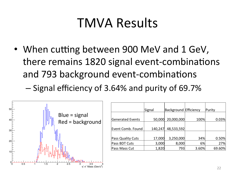• When cutting between 900 MeV and 1 GeV, there remains 1820 signal event-combinations and 793 background event-combinations

– Signal efficiency of 3.64% and purity of 69.7%



|                   | Signal  | <b>Background Efficiency</b> |       | Purity |
|-------------------|---------|------------------------------|-------|--------|
| Generated Events  | 50,000  | 20,000,000                   | 100%  | 0.03%  |
| Event Comb. Found | 140,247 | 48,533,592                   |       |        |
| Pass Quality Cuts | 17,000  | 3,250,000                    | 34%   | 0.50%  |
| Pass BDT Cuts     | 3,000   | 8,000                        | 6%    | 27%    |
| Pass Mass Cut     | 1,820   | 793                          | 3.60% | 69.60% |